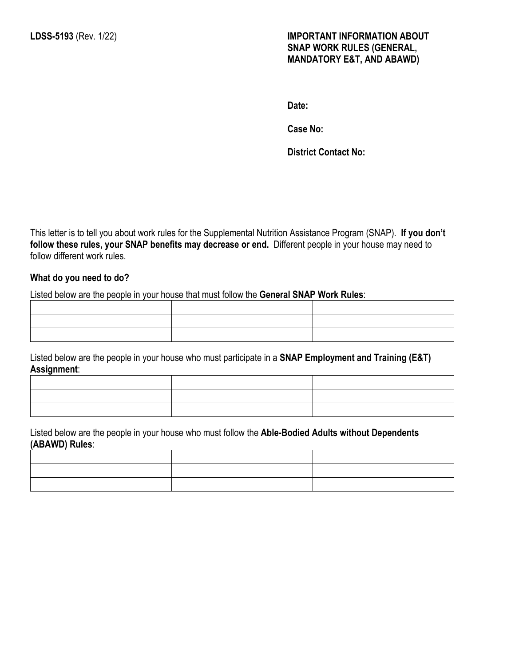**Date:**

**Case No:** 

**District Contact No:**

This letter is to tell you about work rules for the Supplemental Nutrition Assistance Program (SNAP). **If you don't follow these rules, your SNAP benefits may decrease or end.** Different people in your house may need to follow different work rules.

#### **What do you need to do?**

Listed below are the people in your house that must follow the **General SNAP Work Rules**:

Listed below are the people in your house who must participate in a **SNAP Employment and Training (E&T) Assignment**:

Listed below are the people in your house who must follow the **Able-Bodied Adults without Dependents (ABAWD) Rules**: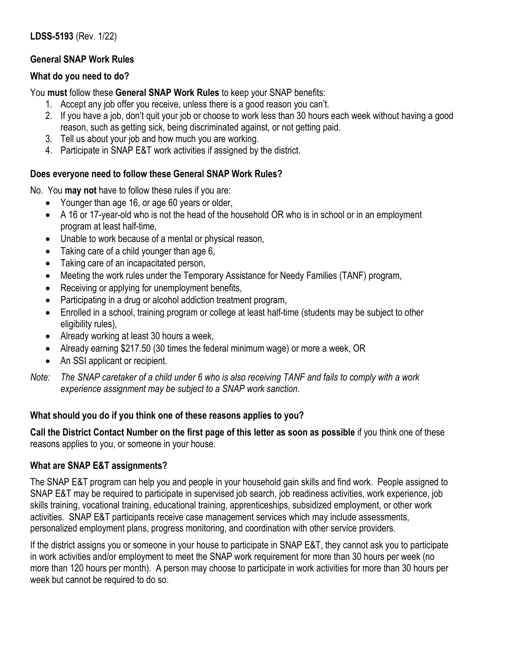# **General SNAP Work Rules**

### **What do you need to do?**

You **must** follow these **General SNAP Work Rules** to keep your SNAP benefits:

- 1. Accept any job offer you receive, unless there is a good reason you can't.
- 2. If you have a job, don't quit your job or choose to work less than 30 hours each week without having a good reason, such as getting sick, being discriminated against, or not getting paid.
- 3. Tell us about your job and how much you are working.
- 4. Participate in SNAP E&T work activities if assigned by the district.

# **Does everyone need to follow these General SNAP Work Rules?**

No. You **may not** have to follow these rules if you are:

- Younger than age 16, or age 60 years or older,
- A 16 or 17-year-old who is not the head of the household OR who is in school or in an employment program at least half-time,
- Unable to work because of a mental or physical reason,
- Taking care of a child younger than age 6,
- Taking care of an incapacitated person,
- Meeting the work rules under the Temporary Assistance for Needy Families (TANF) program,
- Receiving or applying for unemployment benefits.
- Participating in a drug or alcohol addiction treatment program,
- Enrolled in a school, training program or college at least half-time (students may be subject to other eligibility rules),
- Already working at least 30 hours a week,
- Already earning \$217.50 (30 times the federal minimum wage) or more a week, OR
- An SSI applicant or recipient.

*Note: The SNAP caretaker of a child under 6 who is also receiving TANF and fails to comply with a work experience assignment may be subject to a SNAP work sanction.*

## **What should you do if you think one of these reasons applies to you?**

**Call the District Contact Number on the first page of this letter as soon as possible** if you think one of these reasons applies to you, or someone in your house.

## **What are SNAP E&T assignments?**

The SNAP E&T program can help you and people in your household gain skills and find work. People assigned to SNAP E&T may be required to participate in supervised job search, job readiness activities, work experience, job skills training, vocational training, educational training, apprenticeships, subsidized employment, or other work activities. SNAP E&T participants receive case management services which may include assessments, personalized employment plans, progress monitoring, and coordination with other service providers.

If the district assigns you or someone in your house to participate in SNAP E&T, they cannot ask you to participate in work activities and/or employment to meet the SNAP work requirement for more than 30 hours per week (no more than 120 hours per month). A person may choose to participate in work activities for more than 30 hours per week but cannot be required to do so.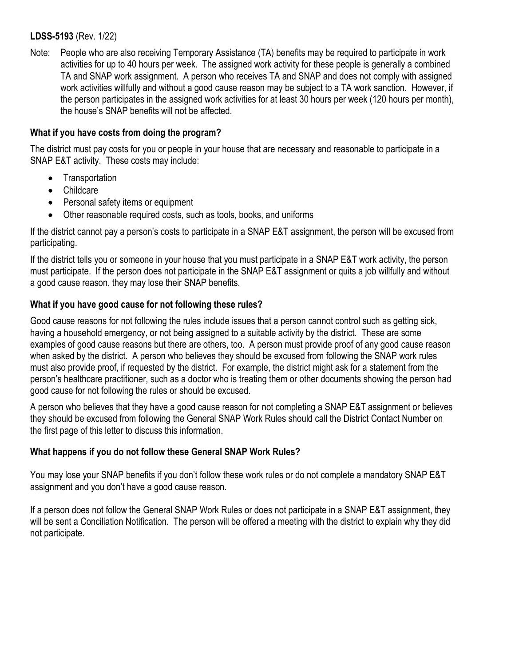Note: People who are also receiving Temporary Assistance (TA) benefits may be required to participate in work activities for up to 40 hours per week. The assigned work activity for these people is generally a combined TA and SNAP work assignment. A person who receives TA and SNAP and does not comply with assigned work activities willfully and without a good cause reason may be subject to a TA work sanction. However, if the person participates in the assigned work activities for at least 30 hours per week (120 hours per month), the house's SNAP benefits will not be affected.

### **What if you have costs from doing the program?**

The district must pay costs for you or people in your house that are necessary and reasonable to participate in a SNAP E&T activity. These costs may include:

- Transportation
- Childcare
- Personal safety items or equipment
- Other reasonable required costs, such as tools, books, and uniforms

If the district cannot pay a person's costs to participate in a SNAP E&T assignment, the person will be excused from participating.

If the district tells you or someone in your house that you must participate in a SNAP E&T work activity, the person must participate. If the person does not participate in the SNAP E&T assignment or quits a job willfully and without a good cause reason, they may lose their SNAP benefits.

## **What if you have good cause for not following these rules?**

Good cause reasons for not following the rules include issues that a person cannot control such as getting sick, having a household emergency, or not being assigned to a suitable activity by the district. These are some examples of good cause reasons but there are others, too. A person must provide proof of any good cause reason when asked by the district. A person who believes they should be excused from following the SNAP work rules must also provide proof, if requested by the district. For example, the district might ask for a statement from the person's healthcare practitioner, such as a doctor who is treating them or other documents showing the person had good cause for not following the rules or should be excused.

A person who believes that they have a good cause reason for not completing a SNAP E&T assignment or believes they should be excused from following the General SNAP Work Rules should call the District Contact Number on the first page of this letter to discuss this information.

#### **What happens if you do not follow these General SNAP Work Rules?**

You may lose your SNAP benefits if you don't follow these work rules or do not complete a mandatory SNAP E&T assignment and you don't have a good cause reason.

If a person does not follow the General SNAP Work Rules or does not participate in a SNAP E&T assignment, they will be sent a Conciliation Notification. The person will be offered a meeting with the district to explain why they did not participate.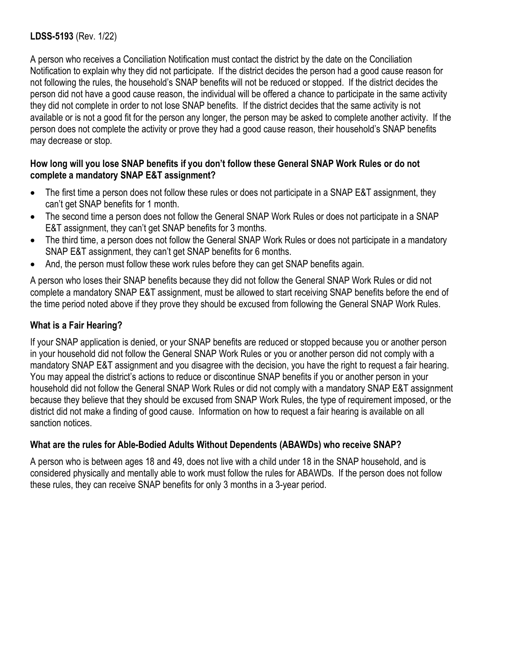A person who receives a Conciliation Notification must contact the district by the date on the Conciliation Notification to explain why they did not participate. If the district decides the person had a good cause reason for not following the rules, the household's SNAP benefits will not be reduced or stopped. If the district decides the person did not have a good cause reason, the individual will be offered a chance to participate in the same activity they did not complete in order to not lose SNAP benefits. If the district decides that the same activity is not available or is not a good fit for the person any longer, the person may be asked to complete another activity. If the person does not complete the activity or prove they had a good cause reason, their household's SNAP benefits may decrease or stop.

#### **How long will you lose SNAP benefits if you don't follow these General SNAP Work Rules or do not complete a mandatory SNAP E&T assignment?**

- The first time a person does not follow these rules or does not participate in a SNAP E&T assignment, they can't get SNAP benefits for 1 month.
- The second time a person does not follow the General SNAP Work Rules or does not participate in a SNAP E&T assignment, they can't get SNAP benefits for 3 months.
- The third time, a person does not follow the General SNAP Work Rules or does not participate in a mandatory SNAP E&T assignment, they can't get SNAP benefits for 6 months.
- And, the person must follow these work rules before they can get SNAP benefits again.

A person who loses their SNAP benefits because they did not follow the General SNAP Work Rules or did not complete a mandatory SNAP E&T assignment, must be allowed to start receiving SNAP benefits before the end of the time period noted above if they prove they should be excused from following the General SNAP Work Rules.

## **What is a Fair Hearing?**

If your SNAP application is denied, or your SNAP benefits are reduced or stopped because you or another person in your household did not follow the General SNAP Work Rules or you or another person did not comply with a mandatory SNAP E&T assignment and you disagree with the decision, you have the right to request a fair hearing. You may appeal the district's actions to reduce or discontinue SNAP benefits if you or another person in your household did not follow the General SNAP Work Rules or did not comply with a mandatory SNAP E&T assignment because they believe that they should be excused from SNAP Work Rules, the type of requirement imposed, or the district did not make a finding of good cause. Information on how to request a fair hearing is available on all sanction notices.

#### **What are the rules for Able-Bodied Adults Without Dependents (ABAWDs) who receive SNAP?**

A person who is between ages 18 and 49, does not live with a child under 18 in the SNAP household, and is considered physically and mentally able to work must follow the rules for ABAWDs. If the person does not follow these rules, they can receive SNAP benefits for only 3 months in a 3-year period.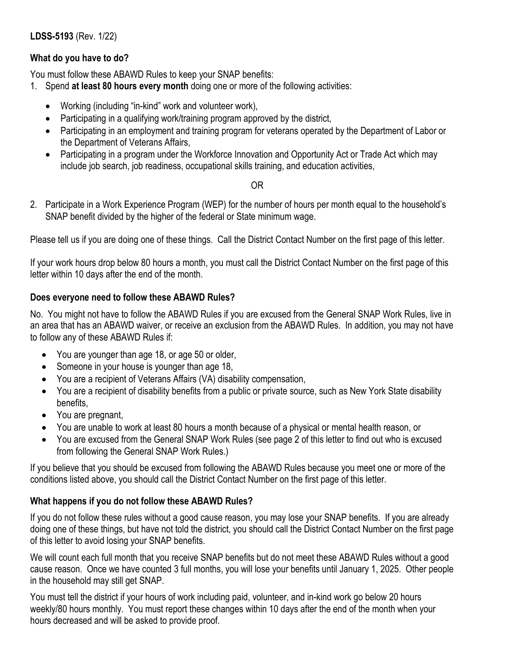# **What do you have to do?**

You must follow these ABAWD Rules to keep your SNAP benefits:

- 1. Spend **at least 80 hours every month** doing one or more of the following activities:
	- Working (including "in-kind" work and volunteer work),
	- Participating in a qualifying work/training program approved by the district,
	- Participating in an employment and training program for veterans operated by the Department of Labor or the Department of Veterans Affairs,
	- Participating in a program under the Workforce Innovation and Opportunity Act or Trade Act which may include job search, job readiness, occupational skills training, and education activities,

#### OR

2. Participate in a Work Experience Program (WEP) for the number of hours per month equal to the household's SNAP benefit divided by the higher of the federal or State minimum wage.

Please tell us if you are doing one of these things. Call the District Contact Number on the first page of this letter.

If your work hours drop below 80 hours a month, you must call the District Contact Number on the first page of this letter within 10 days after the end of the month.

## **Does everyone need to follow these ABAWD Rules?**

No. You might not have to follow the ABAWD Rules if you are excused from the General SNAP Work Rules, live in an area that has an ABAWD waiver, or receive an exclusion from the ABAWD Rules. In addition, you may not have to follow any of these ABAWD Rules if:

- You are younger than age 18, or age 50 or older,
- Someone in your house is younger than age 18,
- You are a recipient of Veterans Affairs (VA) disability compensation,
- You are a recipient of disability benefits from a public or private source, such as New York State disability benefits,
- You are pregnant,
- You are unable to work at least 80 hours a month because of a physical or mental health reason, or
- You are excused from the General SNAP Work Rules (see page 2 of this letter to find out who is excused from following the General SNAP Work Rules.)

If you believe that you should be excused from following the ABAWD Rules because you meet one or more of the conditions listed above, you should call the District Contact Number on the first page of this letter.

# **What happens if you do not follow these ABAWD Rules?**

If you do not follow these rules without a good cause reason, you may lose your SNAP benefits. If you are already doing one of these things, but have not told the district, you should call the District Contact Number on the first page of this letter to avoid losing your SNAP benefits.

We will count each full month that you receive SNAP benefits but do not meet these ABAWD Rules without a good cause reason. Once we have counted 3 full months, you will lose your benefits until January 1, 2025. Other people in the household may still get SNAP.

You must tell the district if your hours of work including paid, volunteer, and in-kind work go below 20 hours weekly/80 hours monthly. You must report these changes within 10 days after the end of the month when your hours decreased and will be asked to provide proof.